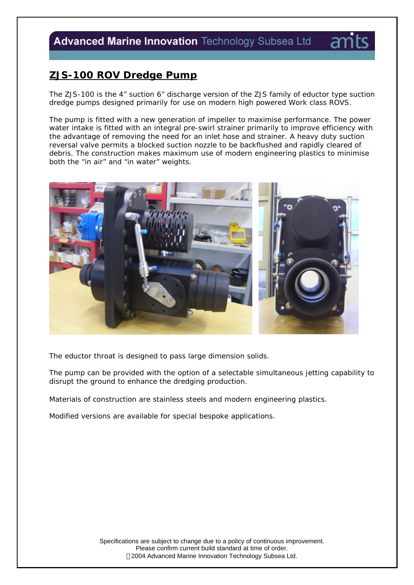# Advanced Marine Innovation Technology Subsea Ltd

## **ZJS-100 ROV Dredge Pump**

The ZJS-100 is the 4" suction 6" discharge version of the ZJS family of eductor type suction dredge pumps designed primarily for use on modern high powered Work class ROVS.

The pump is fitted with a new generation of impeller to maximise performance. The power water intake is fitted with an integral pre-swirl strainer primarily to improve efficiency with the advantage of removing the need for an inlet hose and strainer. A heavy duty suction reversal valve permits a blocked suction nozzle to be backflushed and rapidly cleared of debris. The construction makes maximum use of modern engineering plastics to minimise both the "in air" and "in water" weights.



The eductor throat is designed to pass large dimension solids.

The pump can be provided with the option of a selectable simultaneous jetting capability to disrupt the ground to enhance the dredging production.

Materials of construction are stainless steels and modern engineering plastics.

Modified versions are available for special bespoke applications.